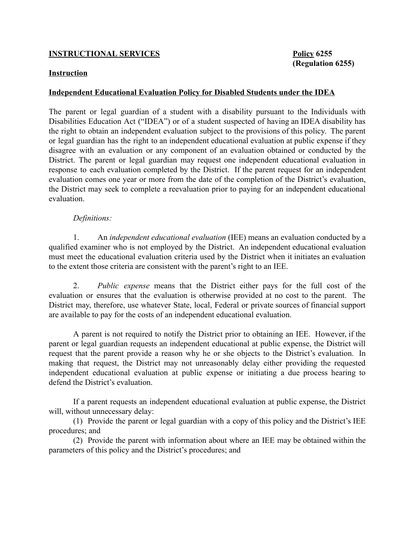## **INSTRUCTIONAL SERVICES** Policy 6255

## Instruction

## Independent Educational Evaluation Policy for Disabled Students under the IDEA

The parent or legal guardian of a student with a disability pursuant to the Individuals with Disabilities Education Act ("IDEA") or of a student suspected of having an IDEA disability has the right to obtain an independent evaluation subject to the provisions of this policy. The parent or legal guardian has the right to an independent educational evaluation at public expense if they disagree with an evaluation or any component of an evaluation obtained or conducted by the District. The parent or legal guardian may request one independent educational evaluation in response to each evaluation completed by the District. If the parent request for an independent evaluation comes one year or more from the date of the completion of the District's evaluation, the District may seek to complete a reevaluation prior to paying for an independent educational evaluation.

## *Definitions:*

1. An *independent educational evaluation* (IEE) means an evaluation conducted by a qualified examiner who is not employed by the District. An independent educational evaluation must meet the educational evaluation criteria used by the District when it initiates an evaluation to the extent those criteria are consistent with the parent's right to an IEE.

2. *Public expense* means that the District either pays for the full cost of the evaluation or ensures that the evaluation is otherwise provided at no cost to the parent. The District may, therefore, use whatever State, local, Federal or private sources of financial support are available to pay for the costs of an independent educational evaluation.

A parent is not required to notify the District prior to obtaining an IEE. However, if the parent or legal guardian requests an independent educational at public expense, the District will request that the parent provide a reason why he or she objects to the District's evaluation. In making that request, the District may not unreasonably delay either providing the requested independent educational evaluation at public expense or initiating a due process hearing to defend the District's evaluation.

If a parent requests an independent educational evaluation at public expense, the District will, without unnecessary delay:

(1) Provide the parent or legal guardian with a copy of this policy and the District's IEE procedures; and

(2) Provide the parent with information about where an IEE may be obtained within the parameters of this policy and the District's procedures; and